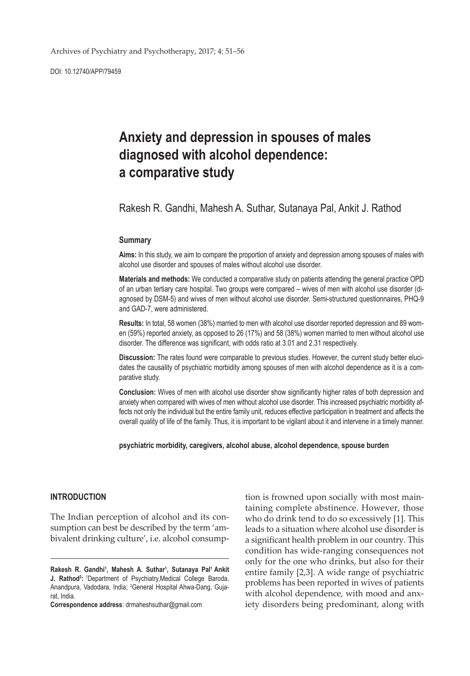DOI: 10.12740/APP/79459

# **Anxiety and depression in spouses of males diagnosed with alcohol dependence: a comparative study**

Rakesh R. Gandhi, Mahesh A. Suthar, Sutanaya Pal, Ankit J. Rathod

#### **Summary**

**Aims:** In this study, we aim to compare the proportion of anxiety and depression among spouses of males with alcohol use disorder and spouses of males without alcohol use disorder.

**Materials and methods:** We conducted a comparative study on patients attending the general practice OPD of an urban tertiary care hospital. Two groups were compared – wives of men with alcohol use disorder (diagnosed by DSM-5) and wives of men without alcohol use disorder. Semi-structured questionnaires, PHQ-9 and GAD-7, were administered.

**Results:** In total, 58 women (38%) married to men with alcohol use disorder reported depression and 89 women (59%) reported anxiety, as opposed to 26 (17%) and 58 (38%) women married to men without alcohol use disorder. The difference was significant, with odds ratio at 3.01 and 2.31 respectively.

**Discussion:** The rates found were comparable to previous studies. However, the current study better elucidates the causality of psychiatric morbidity among spouses of men with alcohol dependence as it is a comparative study.

**Conclusion:** Wives of men with alcohol use disorder show significantly higher rates of both depression and anxiety when compared with wives of men without alcohol use disorder. This increased psychiatric morbidity affects not only the individual but the entire family unit, reduces effective participation in treatment and affects the overall quality of life of the family. Thus, it is important to be vigilant about it and intervene in a timely manner.

**psychiatric morbidity, caregivers, alcohol abuse, alcohol dependence, spouse burden**

# **INTRODUCTION**

The Indian perception of alcohol and its consumption can best be described by the term 'ambivalent drinking culture', i.e. alcohol consump-

**Correspondence address**: drmaheshsuthar@gmail.com

tion is frowned upon socially with most maintaining complete abstinence. However, those who do drink tend to do so excessively [1]. This leads to a situation where alcohol use disorder is a significant health problem in our country. This condition has wide-ranging consequences not only for the one who drinks, but also for their entire family [2,3]. A wide range of psychiatric problems has been reported in wives of patients with alcohol dependence, with mood and anxiety disorders being predominant, along with

**Rakesh R. Gandhi<sup>1</sup> , Mahesh A. Suthar1 , Sutanaya Pal1 Ankit J. Rathod<sup>2</sup>:** <sup>1</sup>Department of Psychiatry, Medical College Baroda, Anandpura, Vadodara, India; <sup>2</sup>General Hospital Ahwa-Dang, Gujarat, India.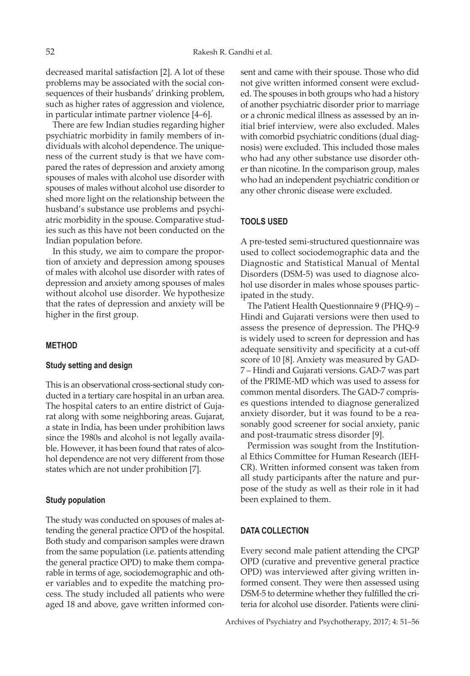decreased marital satisfaction [2]. A lot of these problems may be associated with the social consequences of their husbands' drinking problem, such as higher rates of aggression and violence, in particular intimate partner violence [4–6].

There are few Indian studies regarding higher psychiatric morbidity in family members of individuals with alcohol dependence. The uniqueness of the current study is that we have compared the rates of depression and anxiety among spouses of males with alcohol use disorder with spouses of males without alcohol use disorder to shed more light on the relationship between the husband's substance use problems and psychiatric morbidity in the spouse. Comparative studies such as this have not been conducted on the Indian population before.

In this study, we aim to compare the proportion of anxiety and depression among spouses of males with alcohol use disorder with rates of depression and anxiety among spouses of males without alcohol use disorder. We hypothesize that the rates of depression and anxiety will be higher in the first group.

#### **METHOD**

#### **Study setting and design**

This is an observational cross-sectional study conducted in a tertiary care hospital in an urban area. The hospital caters to an entire district of Gujarat along with some neighboring areas. Gujarat, a state in India, has been under prohibition laws since the 1980s and alcohol is not legally available. However, it has been found that rates of alcohol dependence are not very different from those states which are not under prohibition [7].

#### **Study population**

The study was conducted on spouses of males attending the general practice OPD of the hospital. Both study and comparison samples were drawn from the same population (i.e. patients attending the general practice OPD) to make them comparable in terms of age, sociodemographic and other variables and to expedite the matching process. The study included all patients who were aged 18 and above, gave written informed consent and came with their spouse. Those who did not give written informed consent were excluded. The spouses in both groups who had a history of another psychiatric disorder prior to marriage or a chronic medical illness as assessed by an initial brief interview, were also excluded. Males with comorbid psychiatric conditions (dual diagnosis) were excluded. This included those males who had any other substance use disorder other than nicotine. In the comparison group, males who had an independent psychiatric condition or any other chronic disease were excluded.

# **TOOLS USED**

A pre-tested semi-structured questionnaire was used to collect sociodemographic data and the Diagnostic and Statistical Manual of Mental Disorders (DSM-5) was used to diagnose alcohol use disorder in males whose spouses participated in the study.

The Patient Health Questionnaire 9 (PHQ-9) – Hindi and Gujarati versions were then used to assess the presence of depression. The PHQ-9 is widely used to screen for depression and has adequate sensitivity and specificity at a cut-off score of 10 [8]. Anxiety was measured by GAD-7 – Hindi and Gujarati versions. GAD-7 was part of the PRIME-MD which was used to assess for common mental disorders. The GAD-7 comprises questions intended to diagnose generalized anxiety disorder, but it was found to be a reasonably good screener for social anxiety, panic and post-traumatic stress disorder [9].

Permission was sought from the Institutional Ethics Committee for Human Research (IEH-CR). Written informed consent was taken from all study participants after the nature and purpose of the study as well as their role in it had been explained to them.

# **DATA COLLECTION**

Every second male patient attending the CPGP OPD (curative and preventive general practice OPD) was interviewed after giving written informed consent. They were then assessed using DSM-5 to determine whether they fulfilled the criteria for alcohol use disorder. Patients were clini-

Archives of Psychiatry and Psychotherapy, 2017; 4: 51–56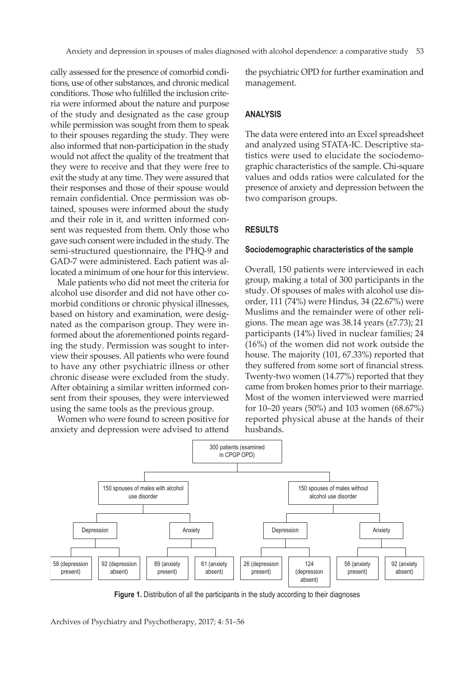cally assessed for the presence of comorbid conditions, use of other substances, and chronic medical conditions. Those who fulfilled the inclusion criteria were informed about the nature and purpose of the study and designated as the case group while permission was sought from them to speak to their spouses regarding the study. They were also informed that non-participation in the study would not affect the quality of the treatment that they were to receive and that they were free to exit the study at any time. They were assured that their responses and those of their spouse would remain confidential. Once permission was obtained, spouses were informed about the study and their role in it, and written informed consent was requested from them. Only those who gave such consent were included in the study. The semi-structured questionnaire, the PHQ-9 and GAD-7 were administered. Each patient was allocated a minimum of one hour for this interview.

Male patients who did not meet the criteria for alcohol use disorder and did not have other comorbid conditions or chronic physical illnesses, based on history and examination, were designated as the comparison group. They were informed about the aforementioned points regarding the study. Permission was sought to interview their spouses. All patients who were found to have any other psychiatric illness or other chronic disease were excluded from the study. After obtaining a similar written informed consent from their spouses, they were interviewed using the same tools as the previous group.

Women who were found to screen positive for anxiety and depression were advised to attend the psychiatric OPD for further examination and management.

# **ANALYSIS**

The data were entered into an Excel spreadsheet and analyzed using STATA-IC. Descriptive statistics were used to elucidate the sociodemographic characteristics of the sample. Chi-square values and odds ratios were calculated for the presence of anxiety and depression between the two comparison groups.

# **RESULTS**

#### **Sociodemographic characteristics of the sample**

Overall, 150 patients were interviewed in each group, making a total of 300 participants in the study. Of spouses of males with alcohol use disorder, 111 (74%) were Hindus, 34 (22.67%) were Muslims and the remainder were of other religions. The mean age was 38.14 years (±7.73); 21 participants (14%) lived in nuclear families; 24 (16%) of the women did not work outside the house. The majority (101, 67.33%) reported that they suffered from some sort of financial stress. Twenty-two women (14.77%) reported that they came from broken homes prior to their marriage. Most of the women interviewed were married for 10–20 years (50%) and 103 women (68.67%) reported physical abuse at the hands of their husbands.



**Figure 1.** Distribution of all the participants in the study according to their diagnoses

Archives of Psychiatry and Psychotherapy, 2017; 4: 51–56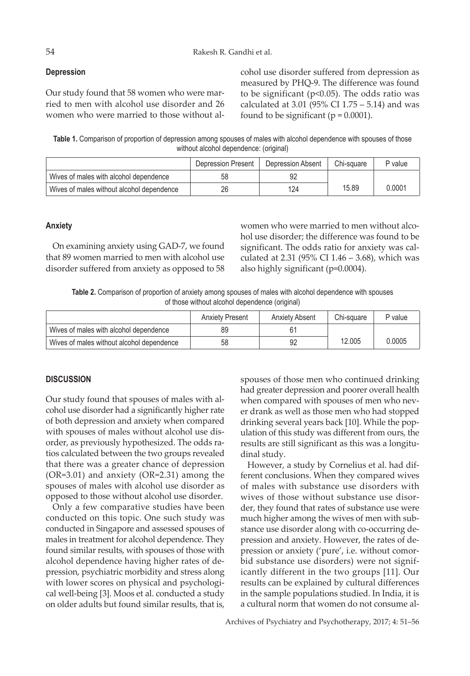# **Depression**

Our study found that 58 women who were married to men with alcohol use disorder and 26 women who were married to those without alcohol use disorder suffered from depression as measured by PHQ-9. The difference was found to be significant ( $p<0.05$ ). The odds ratio was calculated at 3.01 (95% CI 1.75 – 5.14) and was found to be significant ( $p = 0.0001$ ).

**Table 1.** Comparison of proportion of depression among spouses of males with alcohol dependence with spouses of those without alcohol dependence: (original)

|                                           | Depression Present | Depression Absent | Chi-square | P value |
|-------------------------------------------|--------------------|-------------------|------------|---------|
| Wives of males with alcohol dependence    | 58                 |                   |            |         |
| Wives of males without alcohol dependence | 26                 | 124               | 15.89      | 0.0001  |

### **Anxiety**

On examining anxiety using GAD-7, we found that 89 women married to men with alcohol use disorder suffered from anxiety as opposed to 58

women who were married to men without alcohol use disorder; the difference was found to be significant. The odds ratio for anxiety was calculated at 2.31 (95% CI 1.46 – 3.68), which was also highly significant (p=0.0004).

**Table 2.** Comparison of proportion of anxiety among spouses of males with alcohol dependence with spouses of those without alcohol dependence (original)

|                                           | <b>Anxiety Present</b> | Anxiety Absent | Chi-square | P value |
|-------------------------------------------|------------------------|----------------|------------|---------|
| Wives of males with alcohol dependence    |                        |                |            |         |
| Wives of males without alcohol dependence | 58                     | 92             | 12.005     | 0.0005  |

# **DISCUSSION**

Our study found that spouses of males with alcohol use disorder had a significantly higher rate of both depression and anxiety when compared with spouses of males without alcohol use disorder, as previously hypothesized. The odds ratios calculated between the two groups revealed that there was a greater chance of depression (OR=3.01) and anxiety (OR=2.31) among the spouses of males with alcohol use disorder as opposed to those without alcohol use disorder.

Only a few comparative studies have been conducted on this topic. One such study was conducted in Singapore and assessed spouses of males in treatment for alcohol dependence. They found similar results, with spouses of those with alcohol dependence having higher rates of depression, psychiatric morbidity and stress along with lower scores on physical and psychological well-being [3]. Moos et al. conducted a study on older adults but found similar results, that is,

spouses of those men who continued drinking had greater depression and poorer overall health when compared with spouses of men who never drank as well as those men who had stopped drinking several years back [10]. While the population of this study was different from ours, the results are still significant as this was a longitudinal study.

However, a study by Cornelius et al. had different conclusions. When they compared wives of males with substance use disorders with wives of those without substance use disorder, they found that rates of substance use were much higher among the wives of men with substance use disorder along with co-occurring depression and anxiety. However, the rates of depression or anxiety ('pure', i.e. without comorbid substance use disorders) were not significantly different in the two groups [11]. Our results can be explained by cultural differences in the sample populations studied. In India, it is a cultural norm that women do not consume al-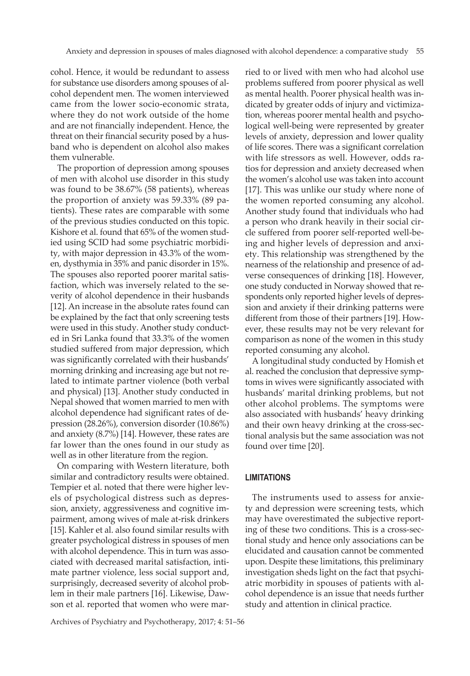cohol. Hence, it would be redundant to assess for substance use disorders among spouses of alcohol dependent men. The women interviewed came from the lower socio-economic strata, where they do not work outside of the home and are not financially independent. Hence, the threat on their financial security posed by a husband who is dependent on alcohol also makes them vulnerable.

The proportion of depression among spouses of men with alcohol use disorder in this study was found to be 38.67% (58 patients), whereas the proportion of anxiety was 59.33% (89 patients). These rates are comparable with some of the previous studies conducted on this topic. Kishore et al. found that 65% of the women studied using SCID had some psychiatric morbidity, with major depression in 43.3% of the women, dysthymia in 35% and panic disorder in 15%. The spouses also reported poorer marital satisfaction, which was inversely related to the severity of alcohol dependence in their husbands [12]. An increase in the absolute rates found can be explained by the fact that only screening tests were used in this study. Another study conducted in Sri Lanka found that 33.3% of the women studied suffered from major depression, which was significantly correlated with their husbands' morning drinking and increasing age but not related to intimate partner violence (both verbal and physical) [13]. Another study conducted in Nepal showed that women married to men with alcohol dependence had significant rates of depression (28.26%), conversion disorder (10.86%) and anxiety (8.7%) [14]. However, these rates are far lower than the ones found in our study as well as in other literature from the region.

On comparing with Western literature, both similar and contradictory results were obtained. Tempier et al. noted that there were higher levels of psychological distress such as depression, anxiety, aggressiveness and cognitive impairment, among wives of male at-risk drinkers [15]. Kahler et al. also found similar results with greater psychological distress in spouses of men with alcohol dependence. This in turn was associated with decreased marital satisfaction, intimate partner violence, less social support and, surprisingly, decreased severity of alcohol problem in their male partners [16]. Likewise, Dawson et al. reported that women who were mar-

Archives of Psychiatry and Psychotherapy, 2017; 4: 51–56

ried to or lived with men who had alcohol use problems suffered from poorer physical as well as mental health. Poorer physical health was indicated by greater odds of injury and victimization, whereas poorer mental health and psychological well-being were represented by greater levels of anxiety, depression and lower quality of life scores. There was a significant correlation with life stressors as well. However, odds ratios for depression and anxiety decreased when the women's alcohol use was taken into account [17]. This was unlike our study where none of the women reported consuming any alcohol. Another study found that individuals who had a person who drank heavily in their social circle suffered from poorer self-reported well-being and higher levels of depression and anxiety. This relationship was strengthened by the nearness of the relationship and presence of adverse consequences of drinking [18]. However, one study conducted in Norway showed that respondents only reported higher levels of depression and anxiety if their drinking patterns were different from those of their partners [19]. However, these results may not be very relevant for comparison as none of the women in this study reported consuming any alcohol.

A longitudinal study conducted by Homish et al. reached the conclusion that depressive symptoms in wives were significantly associated with husbands' marital drinking problems, but not other alcohol problems. The symptoms were also associated with husbands' heavy drinking and their own heavy drinking at the cross-sectional analysis but the same association was not found over time [20].

#### **LIMITATIONS**

The instruments used to assess for anxiety and depression were screening tests, which may have overestimated the subjective reporting of these two conditions. This is a cross-sectional study and hence only associations can be elucidated and causation cannot be commented upon. Despite these limitations, this preliminary investigation sheds light on the fact that psychiatric morbidity in spouses of patients with alcohol dependence is an issue that needs further study and attention in clinical practice.